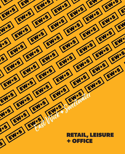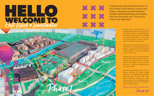



Whether you're a budding start-up or a well-established brand, we've got a mix of 18 commercial spaces totalling 28,885sqft (2,683.5sqm) that have been designed with every kind of business in mind. As well as a strong business community, there's a growing residential community too.

In East Wick and Sweetwater there are over 1,800 homes in the making along with new schools, nurseries and community spaces, a huge addition to all that's happening across the wider area.

We're located in the iconic Queen Elizabeth Olympic Park, nestled right next-door to Hackney Wick and Fish Island, a stone's throw from Stratford, and surrounded by well-known commercial destinations like Here East and IQL.

We're also near East Bank, the new Culture Quarter, featuring UAL's London College of Fashion, a 550-seat theatre at Sadler's Wells and state of the art BBC music studios. V&A East will display its worldfamous collections and collaborating with the Smithsonian Institution, it will establish it's first London location.

**Ready to be part of the action?**

**Jump in!**

A vibrant new cultural hub in the heart of East London. We're home to creators and makers, entrepreneurs and innovators, and like-minded businesses of all shapes and sizes. Sound like you? Then you've come to the right place!

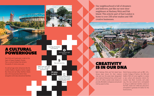As well as huge visitor attractions like the London Stadium, Aquatics Centre, Copper Box Arena and Lee Valley VeloPark, there's also a thriving business district here alongside world-class educational facilities.







### A CULTURAL POWERHOUSE

East Wick and Sweetwater is right at the heart of Queen Elizabeth Olympic Park, a cultural hotbed that attracts thousands of visitors every year.

Our neighbourhood is full of dreamers and believers, just like our next-door neighbours at Hackney Wick and Fish Island. This eclectic part of East London is home to over 250 artist studios and 100 creative businesses.

### CREATIVITY IS IN OUR DNA

Both Hackney Wick and Fish Island have always been known for their creative vibe and now the area's been designated of an £11 million London-wide initiative to provide affordable workspaces and job and training opportunities.





as a Creative Enterprise Zone, which is part a new culture and education district for World famous entities such as BBC, UCL, London College of Fashion, the V&A and Sadler's Well will come together to create London; East Bank. Currently well under way, this new cultural hub is anticipated to bring an additional 1.5million visitors to the Park, create over 2,500 new jobs and is anticipated to generate £1.5 billion for the local economy.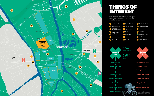## THINGS OF INTEREST





East Wick and Sweetwater is right in the action, just a walk away from some of the area's hottest attractions.

> Please note these may be direct or requiring changing lines. \*Times are approximate and are taken from National Rail and TFL.



#### **London Bridge 19 mins Liverpool Street 24 mins s l l l l l l**

|                |                                            |    | AAA                        |    |                              |
|----------------|--------------------------------------------|----|----------------------------|----|------------------------------|
|                |                                            |    |                            |    |                              |
| 7              | Chobham Manor                              | 14 | Crate Brewery              |    | Hackney Wick Station         |
| 6              | Lee Vallery Velopark                       | 13 | Wick Woodland              | 뻦  | <b>Stratford Station</b>     |
| 5              | Unite Student<br>Accommodation             | 12 | Queen's Yard               | e  | <b>Stratford Int Station</b> |
| 4              | International<br>Quarter London            | 11 | London Stadium             | 18 | East Village                 |
| 3              | East Bank &<br><b>Stratford Waterfront</b> | 10 | <b>Aquatics Centre</b>     | 17 | <b>Bar 90</b>                |
| $\overline{2}$ | Copper Box Arena                           | 9  | <b>Stratford Offices</b>   | 16 | <b>Timber Lodge Cafe</b>     |
| ٦              | Here East and Plexal                       | 8  | <b>Westfield Stratford</b> | 15 | The Stratford Hotel          |

#### Trains per hour **2 0 0 +**

Entries / exits a year **4 0 M +**

**Oxford Circus 19 mins**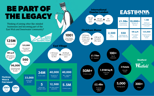

## **EASTEANIS**

UCL campus tech & innovation

**Additional** visitors attracted to the park

Contributed to local economy **£1.5Bn**

#### **1M sq ft**

People involved in cultural events

#### **125,000**

With 600 rooms

Seat theatre by Sadler's Wells East **550**

**1.5M**

Students to the area **10,000+**

Parking spaces







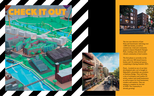The two new districts of East Wick and Sweetwater will bring over 1,800 new homes, as well as commercial, retail and community spaces to Queen Elizabeth Olympic Park, creating a new, diverse and vibrant community in East London.

The first phase is currently on the way, with over 300 mixed tenures homes and 18 commercial spaces, completing in Spring/Summer 2021.

Pssst... Located on our of our later development plot, we've bought in Makeshift's meanwhile use wonders at Hackney Bridge. They will bring a mix of workspace and studios for artists, makers and small businesses; as well as space for food businesses, retailers and markets. They are aiming to complete by the end of 2020. The community is already growing!



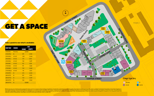# **GET A SPACE**

#### **Take a peek to see what's available:**

Whilst the site plan and unit details have been prepared with all due care for the convenience of the intending purchaser/tenant, the information contained herein is a preliminary guide only and does not constitute part of land, boundary treatments, local authority street lighting or landscaping. It is our intention to build in accordance with this layout. However, the house designs, boundaries, landscaping and positions of roads and footpat made without responsibility on the part of the agents or the developer. None of the statements contained in these particulars are to be relied upon as statement or representation of fact. Any intended purchaser or tenant m **statements contained in these particulars. Please speak to our team for further details. Information correct as of May 2022.**

PHASE<sub>2</sub>

| UNIT REF   | <b>USAGE</b>   |              | GIA    |  |  |
|------------|----------------|--------------|--------|--|--|
|            |                | (SQM)        | (SQFT) |  |  |
| 41.00.NU   | <b>Nursery</b> | <b>GONE!</b> |        |  |  |
| 41.00.FE2  | R              | 179          | 1,935  |  |  |
| 29.00.RL4  | $A1 - A5$      | 245          | 2,646  |  |  |
| 29.00.RL3  | $A1-D2$        | 173          | 1,872  |  |  |
| 29.00 RL2  | $A1-A5$        | 120          | 1,299  |  |  |
| 29.00.RL1  | $A1-A5$        | 112          | 1,215  |  |  |
| 27.00.RL4  | $A1-A5$        | 119          | 1,282  |  |  |
| 27.00.RL3  | $A1-A5$        | 133          | 1,440  |  |  |
| 27.00.RL2a | $A1 - A5$      | 94           | 1,013  |  |  |
| 27.00.FE1  | R              | 213          | 2,302  |  |  |
| 28.00.FE1  | R              | 107          | 1,155  |  |  |
| 28.00.FE2  | B              | 133          | 1,439  |  |  |
| 28.00 FF3  | B              | 144          | 1,560  |  |  |
| 28.00.FF4  | R              | <b>GONE!</b> |        |  |  |



### **Usage type key**



29-00-RL4